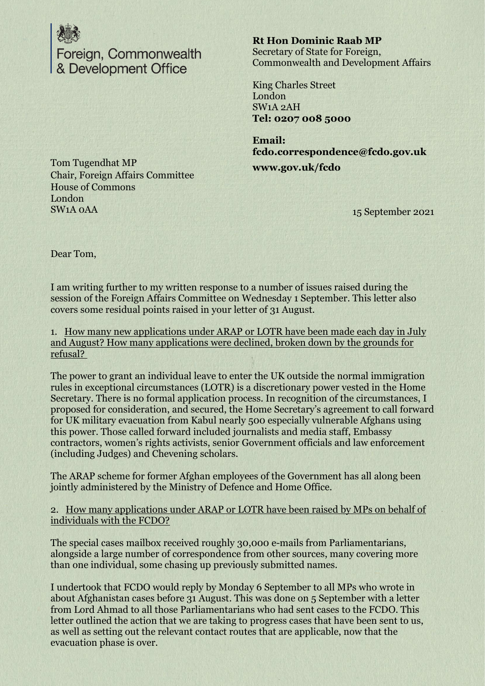

Foreign, Commonwealth & Development Office

**Rt Hon Dominic Raab MP** Secretary of State for Foreign, Commonwealth and Development Affairs

King Charles Street London SW1A 2AH **Tel: 0207 008 5000**

**Email: fcdo.correspondence@fcdo.gov.uk**

**www.gov.uk/fcdo**

15 September 2021

Tom Tugendhat MP Chair, Foreign Affairs Committee House of Commons London SW1A 0AA

Dear Tom,

I am writing further to my written response to a number of issues raised during the session of the Foreign Affairs Committee on Wednesday 1 September. This letter also covers some residual points raised in your letter of 31 August.

1. How many new applications under ARAP or LOTR have been made each day in July and August? How many applications were declined, broken down by the grounds for refusal?

The power to grant an individual leave to enter the UK outside the normal immigration rules in exceptional circumstances (LOTR) is a discretionary power vested in the Home Secretary. There is no formal application process. In recognition of the circumstances, I proposed for consideration, and secured, the Home Secretary's agreement to call forward for UK military evacuation from Kabul nearly 500 especially vulnerable Afghans using this power. Those called forward included journalists and media staff, Embassy contractors, women's rights activists, senior Government officials and law enforcement (including Judges) and Chevening scholars.

The ARAP scheme for former Afghan employees of the Government has all along been jointly administered by the Ministry of Defence and Home Office.

2. How many applications under ARAP or LOTR have been raised by MPs on behalf of individuals with the FCDO?

The special cases mailbox received roughly 30,000 e-mails from Parliamentarians, alongside a large number of correspondence from other sources, many covering more than one individual, some chasing up previously submitted names.

I undertook that FCDO would reply by Monday 6 September to all MPs who wrote in about Afghanistan cases before 31 August. This was done on 5 September with a letter from Lord Ahmad to all those Parliamentarians who had sent cases to the FCDO. This letter outlined the action that we are taking to progress cases that have been sent to us, as well as setting out the relevant contact routes that are applicable, now that the evacuation phase is over.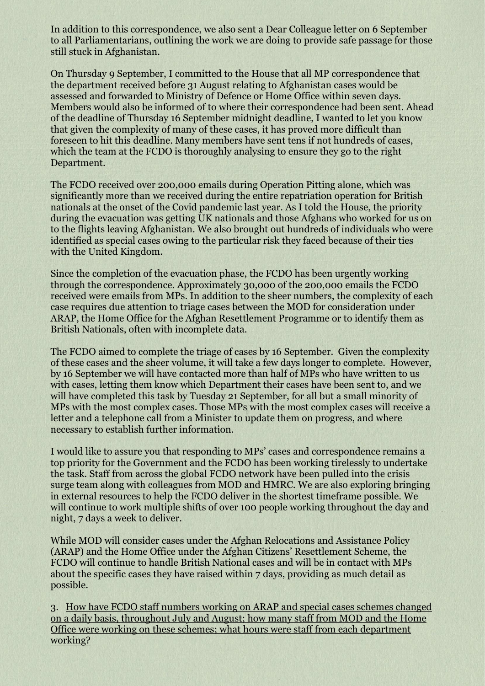In addition to this correspondence, we also sent a Dear Colleague letter on 6 September to all Parliamentarians, outlining the work we are doing to provide safe passage for those still stuck in Afghanistan.

On Thursday 9 September, I committed to the House that all MP correspondence that the department received before 31 August relating to Afghanistan cases would be assessed and forwarded to Ministry of Defence or Home Office within seven days. Members would also be informed of to where their correspondence had been sent. Ahead of the deadline of Thursday 16 September midnight deadline, I wanted to let you know that given the complexity of many of these cases, it has proved more difficult than foreseen to hit this deadline. Many members have sent tens if not hundreds of cases, which the team at the FCDO is thoroughly analysing to ensure they go to the right Department.

The FCDO received over 200,000 emails during Operation Pitting alone, which was significantly more than we received during the entire repatriation operation for British nationals at the onset of the Covid pandemic last year. As I told the House, the priority during the evacuation was getting UK nationals and those Afghans who worked for us on to the flights leaving Afghanistan. We also brought out hundreds of individuals who were identified as special cases owing to the particular risk they faced because of their ties with the United Kingdom.

Since the completion of the evacuation phase, the FCDO has been urgently working through the correspondence. Approximately 30,000 of the 200,000 emails the FCDO received were emails from MPs. In addition to the sheer numbers, the complexity of each case requires due attention to triage cases between the MOD for consideration under ARAP, the Home Office for the Afghan Resettlement Programme or to identify them as British Nationals, often with incomplete data.

The FCDO aimed to complete the triage of cases by 16 September. Given the complexity of these cases and the sheer volume, it will take a few days longer to complete. However, by 16 September we will have contacted more than half of MPs who have written to us with cases, letting them know which Department their cases have been sent to, and we will have completed this task by Tuesday 21 September, for all but a small minority of MPs with the most complex cases. Those MPs with the most complex cases will receive a letter and a telephone call from a Minister to update them on progress, and where necessary to establish further information.

I would like to assure you that responding to MPs' cases and correspondence remains a top priority for the Government and the FCDO has been working tirelessly to undertake the task. Staff from across the global FCDO network have been pulled into the crisis surge team along with colleagues from MOD and HMRC. We are also exploring bringing in external resources to help the FCDO deliver in the shortest timeframe possible. We will continue to work multiple shifts of over 100 people working throughout the day and night, 7 days a week to deliver.

While MOD will consider cases under the Afghan Relocations and Assistance Policy (ARAP) and the Home Office under the Afghan Citizens' Resettlement Scheme, the FCDO will continue to handle British National cases and will be in contact with MPs about the specific cases they have raised within 7 days, providing as much detail as possible.

3. How have FCDO staff numbers working on ARAP and special cases schemes changed on a daily basis, throughout July and August; how many staff from MOD and the Home Office were working on these schemes; what hours were staff from each department working?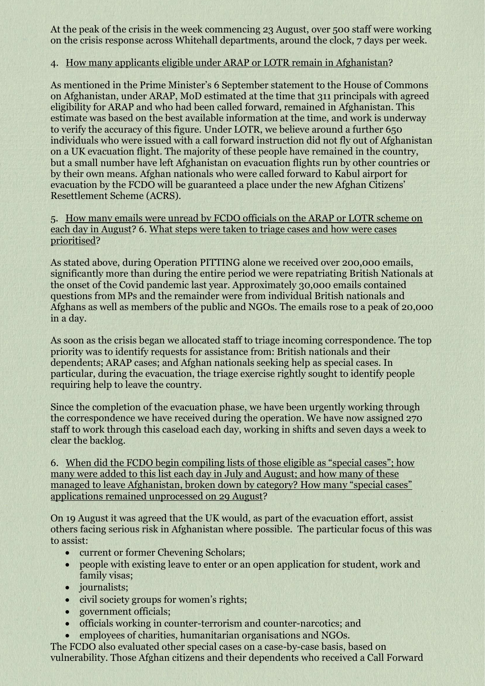At the peak of the crisis in the week commencing 23 August, over 500 staff were working on the crisis response across Whitehall departments, around the clock, 7 days per week.

## 4. How many applicants eligible under ARAP or LOTR remain in Afghanistan?

As mentioned in the Prime Minister's 6 September statement to the House of Commons on Afghanistan, under ARAP, MoD estimated at the time that 311 principals with agreed eligibility for ARAP and who had been called forward, remained in Afghanistan. This estimate was based on the best available information at the time, and work is underway to verify the accuracy of this figure. Under LOTR, we believe around a further 650 individuals who were issued with a call forward instruction did not fly out of Afghanistan on a UK evacuation flight. The majority of these people have remained in the country, but a small number have left Afghanistan on evacuation flights run by other countries or by their own means. Afghan nationals who were called forward to Kabul airport for evacuation by the FCDO will be guaranteed a place under the new Afghan Citizens' Resettlement Scheme (ACRS).

## 5. How many emails were unread by FCDO officials on the ARAP or LOTR scheme on each day in August? 6. What steps were taken to triage cases and how were cases prioritised?

As stated above, during Operation PITTING alone we received over 200,000 emails, significantly more than during the entire period we were repatriating British Nationals at the onset of the Covid pandemic last year. Approximately 30,000 emails contained questions from MPs and the remainder were from individual British nationals and Afghans as well as members of the public and NGOs. The emails rose to a peak of 20,000 in a day.

As soon as the crisis began we allocated staff to triage incoming correspondence. The top priority was to identify requests for assistance from: British nationals and their dependents; ARAP cases; and Afghan nationals seeking help as special cases. In particular, during the evacuation, the triage exercise rightly sought to identify people requiring help to leave the country.

Since the completion of the evacuation phase, we have been urgently working through the correspondence we have received during the operation. We have now assigned 270 staff to work through this caseload each day, working in shifts and seven days a week to clear the backlog.

6. When did the FCDO begin compiling lists of those eligible as "special cases"; how many were added to this list each day in July and August; and how many of these managed to leave Afghanistan, broken down by category? How many "special cases" applications remained unprocessed on 29 August?

On 19 August it was agreed that the UK would, as part of the evacuation effort, assist others facing serious risk in Afghanistan where possible. The particular focus of this was to assist:

- current or former Chevening Scholars;
- people with existing leave to enter or an open application for student, work and family visas;
- journalists;
- civil society groups for women's rights;
- government officials:
- officials working in counter-terrorism and counter-narcotics; and
- employees of charities, humanitarian organisations and NGOs.

The FCDO also evaluated other special cases on a case-by-case basis, based on vulnerability. Those Afghan citizens and their dependents who received a Call Forward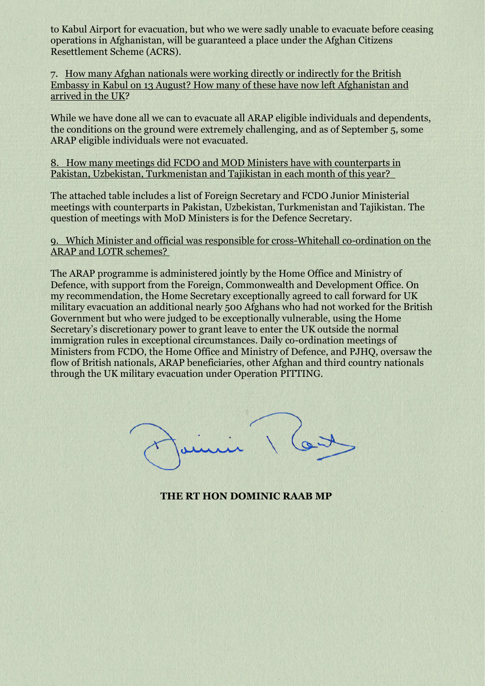to Kabul Airport for evacuation, but who we were sadly unable to evacuate before ceasing operations in Afghanistan, will be guaranteed a place under the Afghan Citizens Resettlement Scheme (ACRS).

7. How many Afghan nationals were working directly or indirectly for the British Embassy in Kabul on 13 August? How many of these have now left Afghanistan and arrived in the UK?

While we have done all we can to evacuate all ARAP eligible individuals and dependents, the conditions on the ground were extremely challenging, and as of September 5, some ARAP eligible individuals were not evacuated.

8. How many meetings did FCDO and MOD Ministers have with counterparts in Pakistan, Uzbekistan, Turkmenistan and Tajikistan in each month of this year?

The attached table includes a list of Foreign Secretary and FCDO Junior Ministerial meetings with counterparts in Pakistan, Uzbekistan, Turkmenistan and Tajikistan. The question of meetings with MoD Ministers is for the Defence Secretary.

9. Which Minister and official was responsible for cross-Whitehall co-ordination on the ARAP and LOTR schemes?

The ARAP programme is administered jointly by the Home Office and Ministry of Defence, with support from the Foreign, Commonwealth and Development Office. On my recommendation, the Home Secretary exceptionally agreed to call forward for UK military evacuation an additional nearly 500 Afghans who had not worked for the British Government but who were judged to be exceptionally vulnerable, using the Home Secretary's discretionary power to grant leave to enter the UK outside the normal immigration rules in exceptional circumstances. Daily co-ordination meetings of Ministers from FCDO, the Home Office and Ministry of Defence, and PJHQ, oversaw the flow of British nationals, ARAP beneficiaries, other Afghan and third country nationals through the UK military evacuation under Operation PITTING.

**THE RT HON DOMINIC RAAB MP**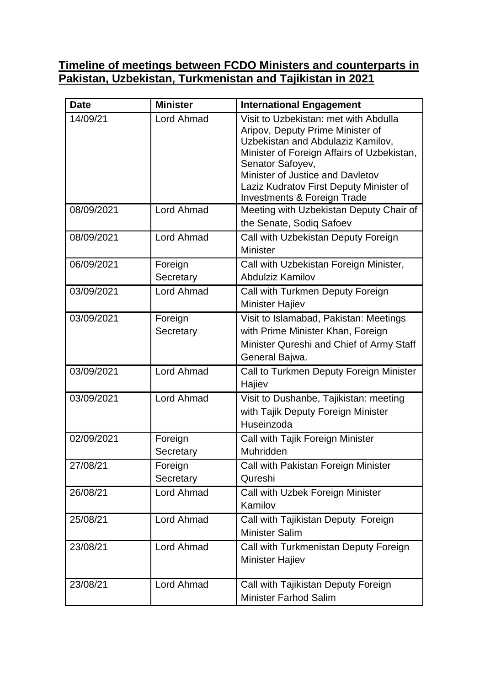## **Timeline of meetings between FCDO Ministers and counterparts in Pakistan, Uzbekistan, Turkmenistan and Tajikistan in 2021**

| <b>Date</b> | <b>Minister</b>      | <b>International Engagement</b>                                                                                                                                                                                                                                                                           |
|-------------|----------------------|-----------------------------------------------------------------------------------------------------------------------------------------------------------------------------------------------------------------------------------------------------------------------------------------------------------|
| 14/09/21    | <b>Lord Ahmad</b>    | Visit to Uzbekistan: met with Abdulla<br>Aripov, Deputy Prime Minister of<br>Uzbekistan and Abdulaziz Kamilov,<br>Minister of Foreign Affairs of Uzbekistan,<br>Senator Safoyev,<br>Minister of Justice and Davletov<br>Laziz Kudratov First Deputy Minister of<br><b>Investments &amp; Foreign Trade</b> |
| 08/09/2021  | Lord Ahmad           | Meeting with Uzbekistan Deputy Chair of<br>the Senate, Sodiq Safoev                                                                                                                                                                                                                                       |
| 08/09/2021  | Lord Ahmad           | Call with Uzbekistan Deputy Foreign<br><b>Minister</b>                                                                                                                                                                                                                                                    |
| 06/09/2021  | Foreign<br>Secretary | Call with Uzbekistan Foreign Minister,<br><b>Abdulziz Kamilov</b>                                                                                                                                                                                                                                         |
| 03/09/2021  | <b>Lord Ahmad</b>    | Call with Turkmen Deputy Foreign<br><b>Minister Hajiev</b>                                                                                                                                                                                                                                                |
| 03/09/2021  | Foreign<br>Secretary | Visit to Islamabad, Pakistan: Meetings<br>with Prime Minister Khan, Foreign<br>Minister Qureshi and Chief of Army Staff<br>General Bajwa.                                                                                                                                                                 |
| 03/09/2021  | Lord Ahmad           | Call to Turkmen Deputy Foreign Minister<br>Hajiev                                                                                                                                                                                                                                                         |
| 03/09/2021  | Lord Ahmad           | Visit to Dushanbe, Tajikistan: meeting<br>with Tajik Deputy Foreign Minister<br>Huseinzoda                                                                                                                                                                                                                |
| 02/09/2021  | Foreign<br>Secretary | Call with Tajik Foreign Minister<br>Muhridden                                                                                                                                                                                                                                                             |
| 27/08/21    | Foreign<br>Secretary | Call with Pakistan Foreign Minister<br>Qureshi                                                                                                                                                                                                                                                            |
| 26/08/21    | Lord Ahmad           | Call with Uzbek Foreign Minister<br>Kamilov                                                                                                                                                                                                                                                               |
| 25/08/21    | Lord Ahmad           | Call with Tajikistan Deputy Foreign<br><b>Minister Salim</b>                                                                                                                                                                                                                                              |
| 23/08/21    | Lord Ahmad           | Call with Turkmenistan Deputy Foreign<br>Minister Hajiev                                                                                                                                                                                                                                                  |
| 23/08/21    | Lord Ahmad           | Call with Tajikistan Deputy Foreign<br><b>Minister Farhod Salim</b>                                                                                                                                                                                                                                       |